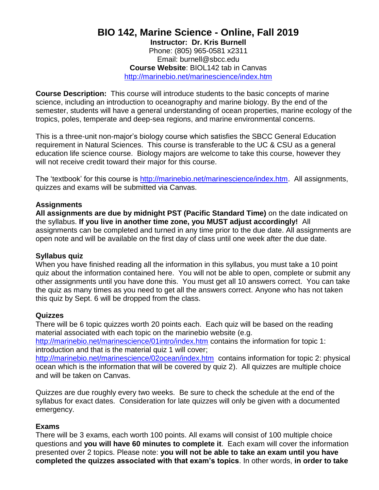# **BIO 142, Marine Science - Online, Fall 2019**

**Instructor: Dr. Kris Burnell**  Phone: (805) 965-0581 x2311 Email: burnell@sbcc.edu **Course Website**: BIOL142 tab in Canvas <http://marinebio.net/marinescience/index.htm>

**Course Description:** This course will introduce students to the basic concepts of marine science, including an introduction to oceanography and marine biology. By the end of the semester, students will have a general understanding of ocean properties, marine ecology of the tropics, poles, temperate and deep-sea regions, and marine environmental concerns.

This is a three-unit non-major"s biology course which satisfies the SBCC General Education requirement in Natural Sciences. This course is transferable to the UC & CSU as a general education life science course. Biology majors are welcome to take this course, however they will not receive credit toward their major for this course.

The "textbook" for this course is [http://marinebio.net/marinescience/index.htm.](http://marinebio.net/marinescience/index.htm) All assignments, quizzes and exams will be submitted via Canvas.

#### **Assignments**

**All assignments are due by midnight PST (Pacific Standard Time)** on the date indicated on the syllabus. **If you live in another time zone, you MUST adjust accordingly!** All assignments can be completed and turned in any time prior to the due date. All assignments are open note and will be available on the first day of class until one week after the due date.

#### **Syllabus quiz**

When you have finished reading all the information in this syllabus, you must take a 10 point quiz about the information contained here. You will not be able to open, complete or submit any other assignments until you have done this. You must get all 10 answers correct. You can take the quiz as many times as you need to get all the answers correct. Anyone who has not taken this quiz by Sept. 6 will be dropped from the class.

#### **Quizzes**

There will be 6 topic quizzes worth 20 points each. Each quiz will be based on the reading material associated with each topic on the marinebio website (e.g.

<http://marinebio.net/marinescience/01intro/index.htm> contains the information for topic 1: introduction and that is the material quiz 1 will cover;

<http://marinebio.net/marinescience/02ocean/index.htm>contains information for topic 2: physical ocean which is the information that will be covered by quiz 2). All quizzes are multiple choice and will be taken on Canvas.

Quizzes are due roughly every two weeks. Be sure to check the schedule at the end of the syllabus for exact dates. Consideration for late quizzes will only be given with a documented emergency.

#### **Exams**

There will be 3 exams, each worth 100 points. All exams will consist of 100 multiple choice questions and **you will have 60 minutes to complete it**. Each exam will cover the information presented over 2 topics. Please note: **you will not be able to take an exam until you have completed the quizzes associated with that exam's topics**. In other words, **in order to take**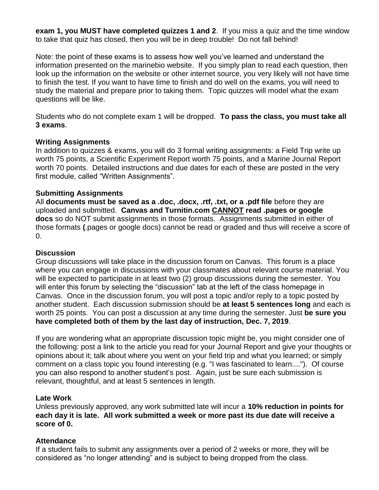**exam 1, you MUST have completed quizzes 1 and 2**. If you miss a quiz and the time window to take that quiz has closed, then you will be in deep trouble! Do not fall behind!

Note: the point of these exams is to assess how well you"ve learned and understand the information presented on the marinebio website. If you simply plan to read each question, then look up the information on the website or other internet source, you very likely will not have time to finish the test. If you want to have time to finish and do well on the exams, you will need to study the material and prepare prior to taking them. Topic quizzes will model what the exam questions will be like.

Students who do not complete exam 1 will be dropped. **To pass the class, you must take all 3 exams**.

#### **Writing Assignments**

In addition to quizzes & exams, you will do 3 formal writing assignments: a Field Trip write up worth 75 points, a Scientific Experiment Report worth 75 points, and a Marine Journal Report worth 70 points. Detailed instructions and due dates for each of these are posted in the very first module, called "Written Assignments".

#### **Submitting Assignments**

All **documents must be saved as a .doc, .docx, .rtf, .txt, or a .pdf file** before they are uploaded and submitted. **Canvas and Turnitin.com CANNOT read .pages or google docs** so do NOT submit assignments in those formats. Assignments submitted in either of those formats **(**.pages or google docs) cannot be read or graded and thus will receive a score of 0.

#### **Discussion**

Group discussions will take place in the discussion forum on Canvas. This forum is a place where you can engage in discussions with your classmates about relevant course material. You will be expected to participate in at least two (2) group discussions during the semester. You will enter this forum by selecting the "discussion" tab at the left of the class homepage in Canvas. Once in the discussion forum, you will post a topic and/or reply to a topic posted by another student. Each discussion submission should be **at least 5 sentences long** and each is worth 25 points. You can post a discussion at any time during the semester. Just **be sure you have completed both of them by the last day of instruction, Dec. 7, 2019**.

If you are wondering what an appropriate discussion topic might be, you might consider one of the following: post a link to the article you read for your Journal Report and give your thoughts or opinions about it; talk about where you went on your field trip and what you learned; or simply comment on a class topic you found interesting (e.g. "I was fascinated to learn...."). Of course you can also respond to another student"s post. Again, just be sure each submission is relevant, thoughtful, and at least 5 sentences in length.

#### **Late Work**

Unless previously approved, any work submitted late will incur a **10% reduction in points for each day it is late. All work submitted a week or more past its due date will receive a score of 0.**

#### **Attendance**

If a student fails to submit any assignments over a period of 2 weeks or more, they will be considered as "no longer attending" and is subject to being dropped from the class.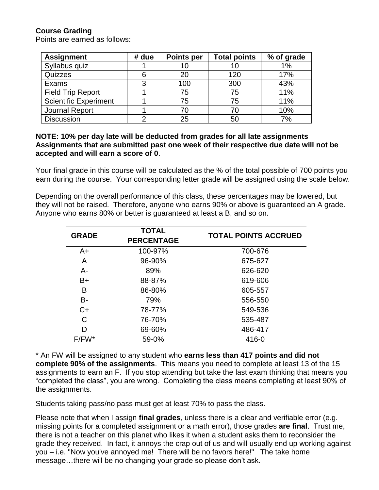#### **Course Grading**

Points are earned as follows:

| <b>Assignment</b>            | # due | <b>Points per</b> | <b>Total points</b> | % of grade |
|------------------------------|-------|-------------------|---------------------|------------|
| Syllabus quiz                |       | 10                | 10                  | 1%         |
| Quizzes                      | 6     | 20                | 120                 | 17%        |
| Exams                        |       | 100               | 300                 | 43%        |
| <b>Field Trip Report</b>     |       | 75                | 75                  | 11%        |
| <b>Scientific Experiment</b> |       | 75                | 75                  | 11%        |
| Journal Report               |       | 70                | 70                  | 10%        |
| <b>Discussion</b>            | ⌒     | 25                | 50                  | 7%         |

#### **NOTE: 10% per day late will be deducted from grades for all late assignments Assignments that are submitted past one week of their respective due date will not be accepted and will earn a score of 0**.

Your final grade in this course will be calculated as the % of the total possible of 700 points you earn during the course. Your corresponding letter grade will be assigned using the scale below.

Depending on the overall performance of this class, these percentages may be lowered, but they will not be raised. Therefore, anyone who earns 90% or above is guaranteed an A grade. Anyone who earns 80% or better is guaranteed at least a B, and so on.

| <b>GRADE</b> | <b>TOTAL</b><br><b>PERCENTAGE</b> | <b>TOTAL POINTS ACCRUED</b> |  |
|--------------|-----------------------------------|-----------------------------|--|
| $A+$         | 100-97%                           | 700-676                     |  |
| A            | 96-90%                            | 675-627                     |  |
| А-           | 89%                               | 626-620                     |  |
| $B+$         | 88-87%                            | 619-606                     |  |
| B            | 86-80%                            | 605-557                     |  |
| <b>B-</b>    | 79%                               | 556-550                     |  |
| $C+$         | 78-77%                            | 549-536                     |  |
| C            | 76-70%                            | 535-487                     |  |
| D            | 69-60%                            | 486-417                     |  |
| $F/FW^*$     | 59-0%                             | 416-0                       |  |

\* An FW will be assigned to any student who **earns less than 417 points and did not complete 90% of the assignments**. This means you need to complete at least 13 of the 15 assignments to earn an F. If you stop attending but take the last exam thinking that means you "completed the class", you are wrong. Completing the class means completing at least 90% of the assignments.

Students taking pass/no pass must get at least 70% to pass the class.

Please note that when I assign **final grades**, unless there is a clear and verifiable error (e.g. missing points for a completed assignment or a math error), those grades **are final**. Trust me, there is not a teacher on this planet who likes it when a student asks them to reconsider the grade they received. In fact, it annoys the crap out of us and will usually end up working against you – i.e. "Now you've annoyed me! There will be no favors here!" The take home message…there will be no changing your grade so please don"t ask.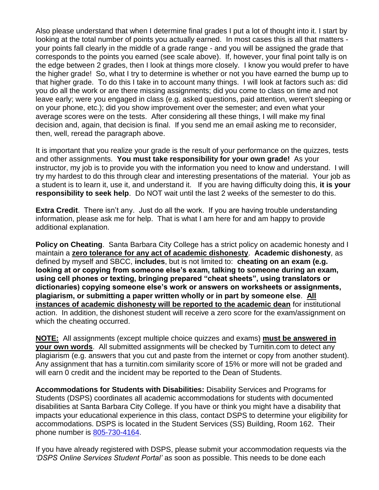Also please understand that when I determine final grades I put a lot of thought into it. I start by looking at the total number of points you actually earned. In most cases this is all that matters your points fall clearly in the middle of a grade range - and you will be assigned the grade that corresponds to the points you earned (see scale above). If, however, your final point tally is on the edge between 2 grades, then I look at things more closely. I know you would prefer to have the higher grade! So, what I try to determine is whether or not you have earned the bump up to that higher grade. To do this I take in to account many things. I will look at factors such as: did you do all the work or are there missing assignments; did you come to class on time and not leave early; were you engaged in class (e.g. asked questions, paid attention, weren't sleeping or on your phone, etc.); did you show improvement over the semester; and even what your average scores were on the tests. After considering all these things, I will make my final decision and, again, that decision is final. If you send me an email asking me to reconsider, then, well, reread the paragraph above.

It is important that you realize your grade is the result of your performance on the quizzes, tests and other assignments. **You must take responsibility for your own grade!** As your instructor, my job is to provide you with the information you need to know and understand. I will try my hardest to do this through clear and interesting presentations of the material. Your job as a student is to learn it, use it, and understand it. If you are having difficulty doing this, **it is your responsibility to seek help**. Do NOT wait until the last 2 weeks of the semester to do this.

**Extra Credit.** There isn't any. Just do all the work. If you are having trouble understanding information, please ask me for help. That is what I am here for and am happy to provide additional explanation.

**Policy on Cheating**. Santa Barbara City College has a strict policy on academic honesty and I maintain a **zero tolerance for any act of academic dishonesty**. **Academic dishonesty**, as defined by myself and SBCC, **includes**, but is not limited to: **cheating on an exam (e.g. looking at or copying from someone else's exam, talking to someone during an exam, using cell phones or texting, bringing prepared "cheat sheets", using translators or dictionaries) copying someone else's work or answers on worksheets or assignments, plagiarism, or submitting a paper written wholly or in part by someone else**. **All instances of academic dishonesty will be reported to the academic dean** for institutional action. In addition, the dishonest student will receive a zero score for the exam/assignment on which the cheating occurred.

**NOTE:** All assignments (except multiple choice quizzes and exams) **must be answered in your own words**. All submitted assignments will be checked by Turnitin.com to detect any plagiarism (e.g. answers that you cut and paste from the internet or copy from another student). Any assignment that has a turnitin.com similarity score of 15% or more will not be graded and will earn 0 credit and the incident may be reported to the Dean of Students.

**Accommodations for Students with Disabilities:** Disability Services and Programs for Students (DSPS) coordinates all academic accommodations for students with documented disabilities at Santa Barbara City College. If you have or think you might have a disability that impacts your educational experience in this class, contact DSPS to determine your eligibility for accommodations. DSPS is located in the Student Services (SS) Building, Room 162. Their phone number is [805-730-4164.](tel:805-730-4164)

If you have already registered with DSPS, please submit your accommodation requests via the *'DSPS Online Services Student Portal'* as soon as possible. This needs to be done each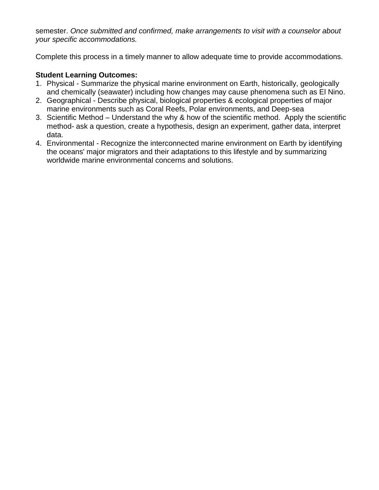semester. *Once submitted and confirmed, make arrangements to visit with a counselor about your specific accommodations.*

Complete this process in a timely manner to allow adequate time to provide accommodations.

### **Student Learning Outcomes:**

- 1. Physical Summarize the physical marine environment on Earth, historically, geologically and chemically (seawater) including how changes may cause phenomena such as El Nino.
- 2. Geographical Describe physical, biological properties & ecological properties of major marine environments such as Coral Reefs, Polar environments, and Deep-sea
- 3. Scientific Method Understand the why & how of the scientific method. Apply the scientific method- ask a question, create a hypothesis, design an experiment, gather data, interpret data.
- 4. Environmental Recognize the interconnected marine environment on Earth by identifying the oceans' major migrators and their adaptations to this lifestyle and by summarizing worldwide marine environmental concerns and solutions.